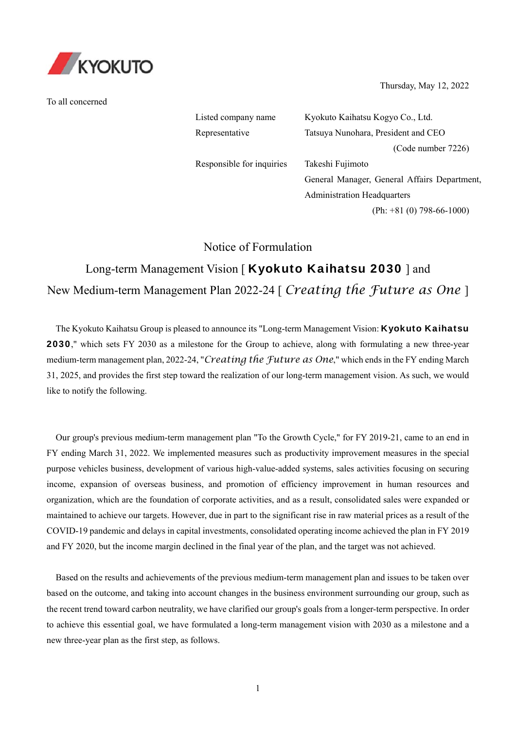

To all concerned

Thursday, May 12, 2022

Listed company name Kyokuto Kaihatsu Kogyo Co., Ltd. Representative Tatsuya Nunohara, President and CEO (Code number 7226) Responsible for inquiries Takeshi Fujimoto General Manager, General Affairs Department, Administration Headquarters (Ph: +81 (0) 798-66-1000)

Notice of Formulation

# Long-term Management Vision [ Kyokuto Kaihatsu 2030 ] and New Medium-term Management Plan 2022-24 [ *Creating the Future as One* ]

The Kyokuto Kaihatsu Group is pleased to announce its "Long-term Management Vision: Kyokuto Kaihatsu 2030," which sets FY 2030 as a milestone for the Group to achieve, along with formulating a new three-year medium-term management plan, 2022-24, "*Creating the Future as One*," which ends in the FY ending March 31, 2025, and provides the first step toward the realization of our long-term management vision. As such, we would like to notify the following.

Our group's previous medium-term management plan "To the Growth Cycle," for FY 2019-21, came to an end in FY ending March 31, 2022. We implemented measures such as productivity improvement measures in the special purpose vehicles business, development of various high-value-added systems, sales activities focusing on securing income, expansion of overseas business, and promotion of efficiency improvement in human resources and organization, which are the foundation of corporate activities, and as a result, consolidated sales were expanded or maintained to achieve our targets. However, due in part to the significant rise in raw material prices as a result of the COVID-19 pandemic and delays in capital investments, consolidated operating income achieved the plan in FY 2019 and FY 2020, but the income margin declined in the final year of the plan, and the target was not achieved.

Based on the results and achievements of the previous medium-term management plan and issues to be taken over based on the outcome, and taking into account changes in the business environment surrounding our group, such as the recent trend toward carbon neutrality, we have clarified our group's goals from a longer-term perspective. In order to achieve this essential goal, we have formulated a long-term management vision with 2030 as a milestone and a new three-year plan as the first step, as follows.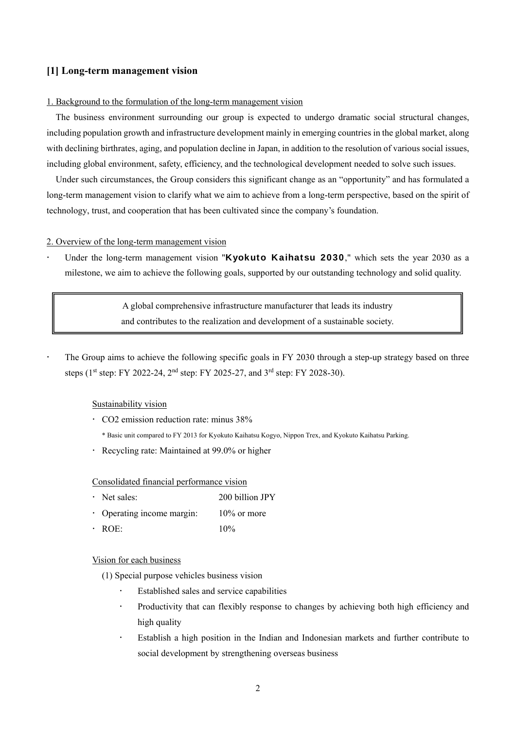# **[1] Long-term management vision**

#### 1. Background to the formulation of the long-term management vision

The business environment surrounding our group is expected to undergo dramatic social structural changes, including population growth and infrastructure development mainly in emerging countries in the global market, along with declining birthrates, aging, and population decline in Japan, in addition to the resolution of various social issues, including global environment, safety, efficiency, and the technological development needed to solve such issues.

Under such circumstances, the Group considers this significant change as an "opportunity" and has formulated a long-term management vision to clarify what we aim to achieve from a long-term perspective, based on the spirit of technology, trust, and cooperation that has been cultivated since the company's foundation.

## 2. Overview of the long-term management vision

Under the long-term management vision "Kyokuto Kaihatsu 2030," which sets the year 2030 as a milestone, we aim to achieve the following goals, supported by our outstanding technology and solid quality.

> A global comprehensive infrastructure manufacturer that leads its industry and contributes to the realization and development of a sustainable society.

 The Group aims to achieve the following specific goals in FY 2030 through a step-up strategy based on three steps ( $1<sup>st</sup>$  step: FY 2022-24,  $2<sup>nd</sup>$  step: FY 2025-27, and  $3<sup>rd</sup>$  step: FY 2028-30).

## Sustainability vision

- CO2 emission reduction rate: minus 38%
	- \* Basic unit compared to FY 2013 for Kyokuto Kaihatsu Kogyo, Nippon Trex, and Kyokuto Kaihatsu Parking.
- Recycling rate: Maintained at 99.0% or higher

Consolidated financial performance vision

- Net sales: 200 billion JPY
- Operating income margin: 10% or more
- $ROE:$  10%

#### Vision for each business

(1) Special purpose vehicles business vision

- Established sales and service capabilities
- Productivity that can flexibly response to changes by achieving both high efficiency and high quality
- Establish a high position in the Indian and Indonesian markets and further contribute to social development by strengthening overseas business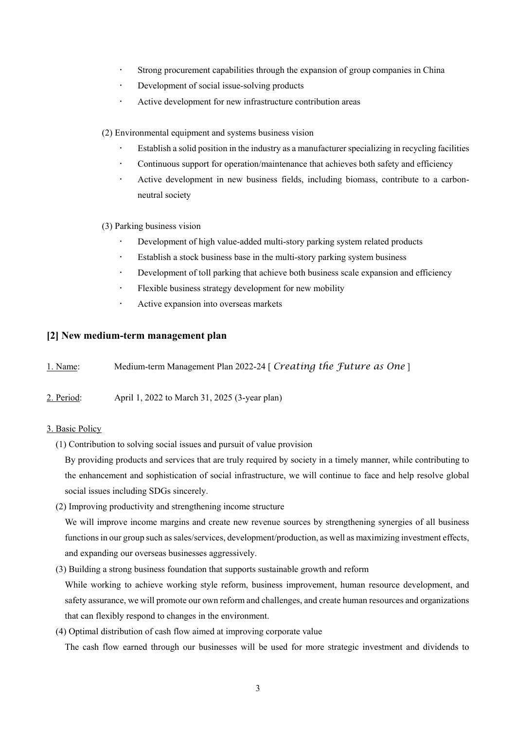- Strong procurement capabilities through the expansion of group companies in China
- Development of social issue-solving products
- Active development for new infrastructure contribution areas

(2) Environmental equipment and systems business vision

- Establish a solid position in the industry as a manufacturer specializing in recycling facilities
- Continuous support for operation/maintenance that achieves both safety and efficiency
- Active development in new business fields, including biomass, contribute to a carbonneutral society

(3) Parking business vision

- Development of high value-added multi-story parking system related products
- Establish a stock business base in the multi-story parking system business
- Development of toll parking that achieve both business scale expansion and efficiency
- Flexible business strategy development for new mobility
- Active expansion into overseas markets

## **[2] New medium-term management plan**

|  | 1. Name: | Medium-term Management Plan 2022-24 [ Creating the Future as One ] |  |  |
|--|----------|--------------------------------------------------------------------|--|--|
|--|----------|--------------------------------------------------------------------|--|--|

2. Period: April 1, 2022 to March 31, 2025 (3-year plan)

#### 3. Basic Policy

(1) Contribution to solving social issues and pursuit of value provision

By providing products and services that are truly required by society in a timely manner, while contributing to the enhancement and sophistication of social infrastructure, we will continue to face and help resolve global social issues including SDGs sincerely.

(2) Improving productivity and strengthening income structure

We will improve income margins and create new revenue sources by strengthening synergies of all business functions in our group such as sales/services, development/production, as well as maximizing investment effects, and expanding our overseas businesses aggressively.

(3) Building a strong business foundation that supports sustainable growth and reform

While working to achieve working style reform, business improvement, human resource development, and safety assurance, we will promote our own reform and challenges, and create human resources and organizations that can flexibly respond to changes in the environment.

(4) Optimal distribution of cash flow aimed at improving corporate value

The cash flow earned through our businesses will be used for more strategic investment and dividends to